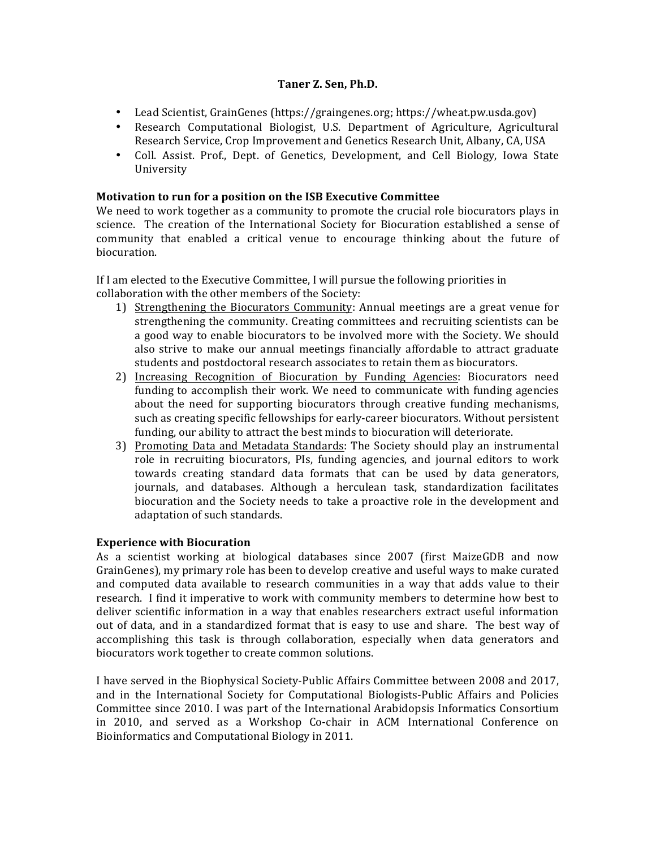### Taner Z. Sen, Ph.D.

- Lead Scientist, GrainGenes (https://graingenes.org; https://wheat.pw.usda.gov)
- Research Computational Biologist, U.S. Department of Agriculture, Agricultural Research Service, Crop Improvement and Genetics Research Unit, Albany, CA, USA
- Coll. Assist. Prof., Dept. of Genetics, Development, and Cell Biology, Iowa State University

#### **Motivation to run for a position on the ISB Executive Committee**

We need to work together as a community to promote the crucial role biocurators plays in science. The creation of the International Society for Biocuration established a sense of community that enabled a critical venue to encourage thinking about the future of biocuration. 

If I am elected to the Executive Committee, I will pursue the following priorities in collaboration with the other members of the Society:

- 1) Strengthening the Biocurators Community: Annual meetings are a great venue for strengthening the community. Creating committees and recruiting scientists can be a good way to enable biocurators to be involved more with the Society. We should also strive to make our annual meetings financially affordable to attract graduate students and postdoctoral research associates to retain them as biocurators.
- 2) Increasing Recognition of Biocuration by Funding Agencies: Biocurators need funding to accomplish their work. We need to communicate with funding agencies about the need for supporting biocurators through creative funding mechanisms, such as creating specific fellowships for early-career biocurators. Without persistent funding, our ability to attract the best minds to biocuration will deteriorate.
- 3) Promoting Data and Metadata Standards: The Society should play an instrumental role in recruiting biocurators, PIs, funding agencies, and journal editors to work towards creating standard data formats that can be used by data generators, journals, and databases. Although a herculean task, standardization facilitates biocuration and the Society needs to take a proactive role in the development and adaptation of such standards.

#### **Experience with Biocuration**

As a scientist working at biological databases since 2007 (first MaizeGDB and now GrainGenes), my primary role has been to develop creative and useful ways to make curated and computed data available to research communities in a way that adds value to their research. I find it imperative to work with community members to determine how best to deliver scientific information in a way that enables researchers extract useful information out of data, and in a standardized format that is easy to use and share. The best way of accomplishing this task is through collaboration, especially when data generators and biocurators work together to create common solutions.

I have served in the Biophysical Society-Public Affairs Committee between 2008 and 2017, and in the International Society for Computational Biologists-Public Affairs and Policies Committee since 2010. I was part of the International Arabidopsis Informatics Consortium in 2010, and served as a Workshop Co-chair in ACM International Conference on Bioinformatics and Computational Biology in 2011.